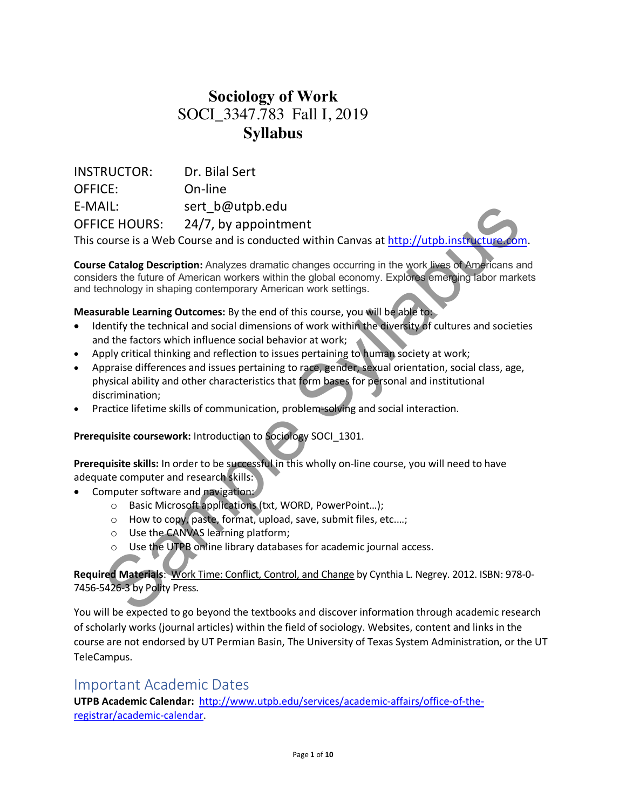# **Sociology of Work** SOCI\_3347.783 Fall I, 2019 **Syllabus**

INSTRUCTOR: Dr. Bilal Sert OFFICE: On-line E-MAIL: sert\_b@utpb.edu OFFICE HOURS: 24/7, by appointment This course is a Web Course and is conducted within Canvas at http://utpb.instructure. Since the Calvin Court and the proportional of the syllabuse of the syllabuse of the syllabuse of the syllabuse of the syllabuse of the syllabuse of the syllabuse of the syllabuse of the syllabuse of the catalog Descriptio

**Course Catalog Description:** Analyzes dramatic changes occurring in the work lives of Americans and considers the future of American workers within the global economy. Explores emerging labor markets and technology in shaping contemporary American work settings.

**Measurable Learning Outcomes:** By the end of this course, you will be able to:

- Identify the technical and social dimensions of work within the diversity of cultures and societies and the factors which influence social behavior at work;
- Apply critical thinking and reflection to issues pertaining to human society at work;
- Appraise differences and issues pertaining to race, gender, sexual orientation, social class, age, physical ability and other characteristics that form bases for personal and institutional discrimination;
- Practice lifetime skills of communication, problem-solving and social interaction.

**Prerequisite coursework:** Introduction to Sociology SOCI\_1301.

**Prerequisite skills:** In order to be successful in this wholly on-line course, you will need to have adequate computer and research skills:

- Computer software and navigation:
	- o Basic Microsoft applications (txt, WORD, PowerPoint…);
	- o How to copy, paste, format, upload, save, submit files, etc.…;
	- o Use the CANVAS learning platform;
	- o Use the UTPB online library databases for academic journal access.

**Required Materials**: Work Time: Conflict, Control, and Change by Cynthia L. Negrey. 2012. ISBN: 978-0- 7456-5426-3 by Polity Press.

You will be expected to go beyond the textbooks and discover information through academic research of scholarly works (journal articles) within the field of sociology. Websites, content and links in the course are not endorsed by UT Permian Basin, The University of Texas System Administration, or the UT TeleCampus.

#### Important Academic Dates

**UTPB Academic Calendar:** http://www.utpb.edu/services/academic-affairs/office-of-theregistrar/academic-calendar.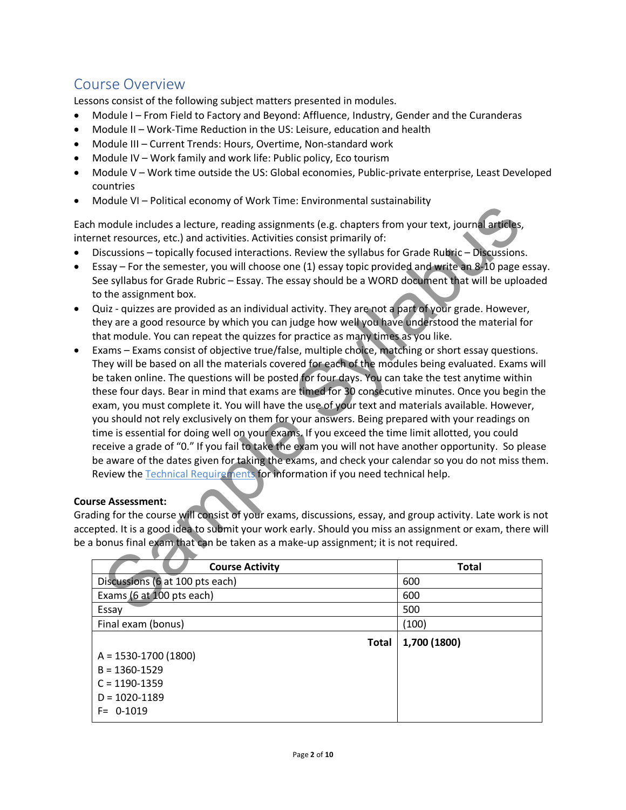### Course Overview

Lessons consist of the following subject matters presented in modules.

- Module I From Field to Factory and Beyond: Affluence, Industry, Gender and the Curanderas
- Module II Work-Time Reduction in the US: Leisure, education and health
- Module III Current Trends: Hours, Overtime, Non-standard work
- Module IV Work family and work life: Public policy, Eco tourism
- Module V Work time outside the US: Global economies, Public-private enterprise, Least Developed countries
- Module VI Political economy of Work Time: Environmental sustainability

Each module includes a lecture, reading assignments (e.g. chapters from your text, journal articles, internet resources, etc.) and activities. Activities consist primarily of:

- Discussions topically focused interactions. Review the syllabus for Grade Rubric Discussions.
- Essay For the semester, you will choose one (1) essay topic provided and write an 8-10 page essay. See syllabus for Grade Rubric – Essay. The essay should be a WORD document that will be uploaded to the assignment box.
- Quiz quizzes are provided as an individual activity. They are not a part of your grade. However, they are a good resource by which you can judge how well you have understood the material for that module. You can repeat the quizzes for practice as many times as you like.
- Exams Exams consist of objective true/false, multiple choice, matching or short essay questions. They will be based on all the materials covered for each of the modules being evaluated. Exams will be taken online. The questions will be posted for four days. You can take the test anytime within these four days. Bear in mind that exams are timed for 30 consecutive minutes. Once you begin the exam, you must complete it. You will have the use of your text and materials available. However, you should not rely exclusively on them for your answers. Being prepared with your readings on time is essential for doing well on your exams. If you exceed the time limit allotted, you could receive a grade of "0." If you fail to take the exam you will not have another opportunity. So please be aware of the dates given for taking the exams, and check your calendar so you do not miss them. Review the Technical Requirements for information if you need technical help. example includes a lecture, peace that includes a lecture, reading assignments (e.g. chapters from your text, journal articles<br>et resources, etc.) and activities. Activities consist primarily of:<br>et resources, etc.) and ac

#### **Course Assessment:**

Grading for the course will consist of your exams, discussions, essay, and group activity. Late work is not accepted. It is a good idea to submit your work early. Should you miss an assignment or exam, there will be a bonus final exam that can be taken as a make-up assignment; it is not required.

| <b>Course Activity</b>          | <b>Total</b> |
|---------------------------------|--------------|
| Discussions (6 at 100 pts each) | 600          |
| Exams (6 at 100 pts each)       | 600          |
| Essay                           | 500          |
| Final exam (bonus)              | (100)        |
| Total                           | 1,700 (1800) |
| $A = 1530 - 1700$ (1800)        |              |
| $B = 1360 - 1529$               |              |
| $C = 1190 - 1359$               |              |
| $D = 1020 - 1189$               |              |
| $F = 0.1019$                    |              |
|                                 |              |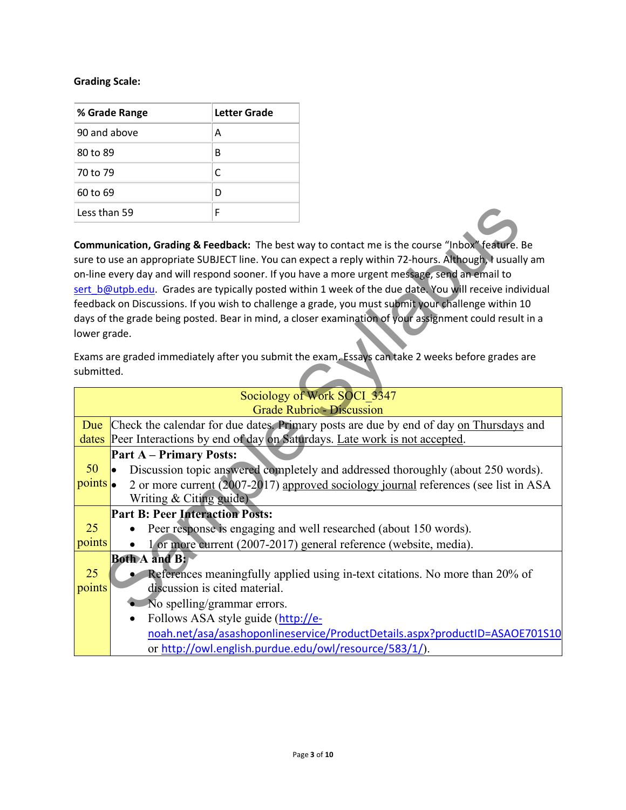#### **Grading Scale:**

| % Grade Range | Letter Grade |  |
|---------------|--------------|--|
| 90 and above  | А            |  |
| 80 to 89      | В            |  |
| 70 to 79      | C            |  |
| 60 to 69      | D            |  |
| Less than 59  | F            |  |

| Less than 59 |                                        | F                                  |                                                                                                         |
|--------------|----------------------------------------|------------------------------------|---------------------------------------------------------------------------------------------------------|
|              |                                        |                                    |                                                                                                         |
|              |                                        |                                    | Communication, Grading & Feedback: The best way to contact me is the course "Inbox" feature. Be         |
|              |                                        |                                    | sure to use an appropriate SUBJECT line. You can expect a reply within 72-hours. Although, I usually am |
|              |                                        |                                    | on-line every day and will respond sooner. If you have a more urgent message, send an email to          |
|              |                                        |                                    | sert b@utpb.edu. Grades are typically posted within 1 week of the due date. You will receive individual |
|              |                                        |                                    | feedback on Discussions. If you wish to challenge a grade, you must submit your challenge within 10     |
|              |                                        |                                    | days of the grade being posted. Bear in mind, a closer examination of your assignment could result in a |
| lower grade. |                                        |                                    |                                                                                                         |
|              |                                        |                                    | Exams are graded immediately after you submit the exam. Essays can take 2 weeks before grades are       |
| submitted.   |                                        |                                    |                                                                                                         |
|              |                                        |                                    |                                                                                                         |
|              |                                        |                                    | Sociology of Work SOCI 3347                                                                             |
|              |                                        |                                    | <b>Grade Rubric - Discussion</b>                                                                        |
| Due          |                                        |                                    | Check the calendar for due dates. Primary posts are due by end of day on Thursdays and                  |
|              |                                        |                                    | dates Peer Interactions by end of day on Saturdays. Late work is not accepted.                          |
|              | <b>Part A – Primary Posts:</b>         |                                    |                                                                                                         |
| 50           | lo.                                    |                                    | Discussion topic answered completely and addressed thoroughly (about 250 words).                        |
| points       |                                        |                                    | 2 or more current (2007-2017) approved sociology journal references (see list in ASA                    |
|              | Writing $&$ Citing guide)              |                                    |                                                                                                         |
|              | <b>Part B: Peer Interaction Posts:</b> |                                    |                                                                                                         |
| 25           |                                        |                                    | Peer response is engaging and well researched (about 150 words).                                        |
| points       |                                        |                                    | 1 or more current (2007-2017) general reference (website, media).                                       |
|              | <b>Both A and B:</b>                   |                                    |                                                                                                         |
| 25           |                                        |                                    | References meaningfully applied using in-text citations. No more than 20% of                            |
| points       |                                        | discussion is cited material.      |                                                                                                         |
|              | • No spelling/grammar errors.          |                                    |                                                                                                         |
|              | $\bullet$                              | Follows ASA style guide (http://e- |                                                                                                         |
|              |                                        |                                    | noah.net/asa/asashoponlineservice/ProductDetails.aspx?productID=ASAOE701S10                             |
|              |                                        |                                    | or http://owl.english.purdue.edu/owl/resource/583/1/).                                                  |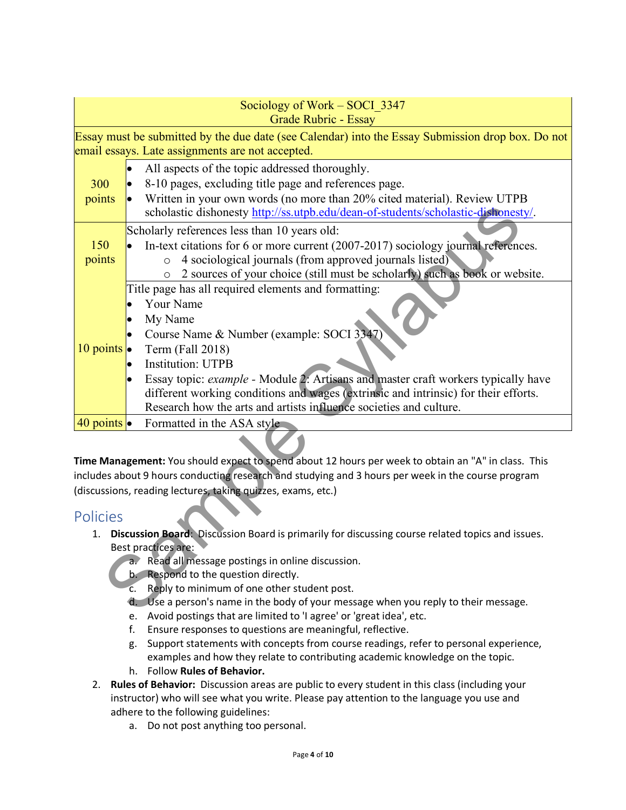|                                                                          |  | Sociology of Work - SOCI 3347<br>Grade Rubric - Essay                                                                                                                                                |  |  |
|--------------------------------------------------------------------------|--|------------------------------------------------------------------------------------------------------------------------------------------------------------------------------------------------------|--|--|
|                                                                          |  | Essay must be submitted by the due date (see Calendar) into the Essay Submission drop box. Do not                                                                                                    |  |  |
|                                                                          |  | email essays. Late assignments are not accepted.                                                                                                                                                     |  |  |
|                                                                          |  | All aspects of the topic addressed thoroughly.                                                                                                                                                       |  |  |
| 300                                                                      |  | 8-10 pages, excluding title page and references page.                                                                                                                                                |  |  |
| points                                                                   |  | Written in your own words (no more than 20% cited material). Review UTPB                                                                                                                             |  |  |
|                                                                          |  | scholastic dishonesty http://ss.utpb.edu/dean-of-students/scholastic-dishonesty/.                                                                                                                    |  |  |
|                                                                          |  |                                                                                                                                                                                                      |  |  |
|                                                                          |  | Scholarly references less than 10 years old:                                                                                                                                                         |  |  |
| 150                                                                      |  | In-text citations for 6 or more current (2007-2017) sociology journal references.                                                                                                                    |  |  |
| points                                                                   |  | 4 sociological journals (from approved journals listed)<br>$\circ$                                                                                                                                   |  |  |
|                                                                          |  | 2 sources of your choice (still must be scholarly) such as book or website.<br>$\circ$<br>Title page has all required elements and formatting:                                                       |  |  |
|                                                                          |  | Your Name                                                                                                                                                                                            |  |  |
|                                                                          |  | My Name                                                                                                                                                                                              |  |  |
| 10 points $\bullet$                                                      |  | Course Name & Number (example: SOCI 3347)                                                                                                                                                            |  |  |
|                                                                          |  | Term (Fall 2018)                                                                                                                                                                                     |  |  |
|                                                                          |  | <b>Institution: UTPB</b>                                                                                                                                                                             |  |  |
|                                                                          |  | Essay topic: example - Module 2: Artisans and master craft workers typically have                                                                                                                    |  |  |
|                                                                          |  | different working conditions and wages (extrinsic and intrinsic) for their efforts.                                                                                                                  |  |  |
|                                                                          |  | Research how the arts and artists influence societies and culture.                                                                                                                                   |  |  |
| 40 points $\bullet$                                                      |  | Formatted in the ASA style                                                                                                                                                                           |  |  |
|                                                                          |  |                                                                                                                                                                                                      |  |  |
|                                                                          |  | Time Management: You should expect to spend about 12 hours per week to obtain an "A" in class. This                                                                                                  |  |  |
|                                                                          |  | includes about 9 hours conducting research and studying and 3 hours per week in the course program                                                                                                   |  |  |
|                                                                          |  | (discussions, reading lectures, taking quizzes, exams, etc.)                                                                                                                                         |  |  |
| <b>Policies</b>                                                          |  |                                                                                                                                                                                                      |  |  |
| 1.                                                                       |  | Discussion Board: Discussion Board is primarily for discussing course related topics and issues.                                                                                                     |  |  |
|                                                                          |  | Best practices are:                                                                                                                                                                                  |  |  |
|                                                                          |  | Read all message postings in online discussion.<br>$a^{\bullet}$                                                                                                                                     |  |  |
| b. Respond to the question directly.                                     |  |                                                                                                                                                                                                      |  |  |
| Reply to minimum of one other student post.<br>$\overline{\mathsf{c}}$ . |  |                                                                                                                                                                                                      |  |  |
|                                                                          |  | d. Use a person's name in the body of your message when you reply to their message.<br>A constant and a statement of the constant of the constant of the constant of the constant of the constant of |  |  |

#### Policies

- 1. **Discussion Board**: Discussion Board is primarily for discussing course related topics and issues. Best practices are:
	- a. Read all message postings in online discussion.
	- b. Respond to the question directly.
	- c. Reply to minimum of one other student post.
	- d. Use a person's name in the body of your message when you reply to their message.
	- e. Avoid postings that are limited to 'I agree' or 'great idea', etc.
	- f. Ensure responses to questions are meaningful, reflective.
	- g. Support statements with concepts from course readings, refer to personal experience, examples and how they relate to contributing academic knowledge on the topic.
	- h. Follow **Rules of Behavior.**
- 2. **Rules of Behavior:** Discussion areas are public to every student in this class (including your instructor) who will see what you write. Please pay attention to the language you use and adhere to the following guidelines:
	- a. Do not post anything too personal.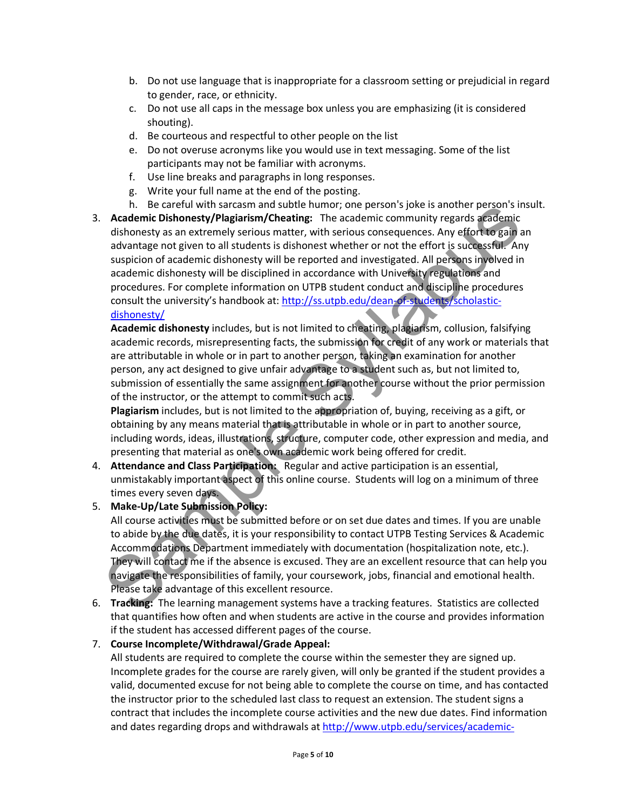- b. Do not use language that is inappropriate for a classroom setting or prejudicial in regard to gender, race, or ethnicity.
- c. Do not use all caps in the message box unless you are emphasizing (it is considered shouting).
- d. Be courteous and respectful to other people on the list
- e. Do not overuse acronyms like you would use in text messaging. Some of the list participants may not be familiar with acronyms.
- f. Use line breaks and paragraphs in long responses.
- g. Write your full name at the end of the posting.
- h. Be careful with sarcasm and subtle humor; one person's joke is another person's insult.
- 3. **Academic Dishonesty/Plagiarism/Cheating:** The academic community regards academic dishonesty as an extremely serious matter, with serious consequences. Any effort to gain an advantage not given to all students is dishonest whether or not the effort is successful. Any suspicion of academic dishonesty will be reported and investigated. All persons involved in academic dishonesty will be disciplined in accordance with University regulations and procedures. For complete information on UTPB student conduct and discipline procedures consult the university's handbook at: http://ss.utpb.edu/dean-of-students/scholasticdishonesty/ n. Be careful with sarcam and sibute numing; one person s joke is anomer person.<br>Academic Dishonesty Plagiarism/Cheating: The academic community regards academic<br>dishonesty as an extremely serious matter, with serious cons

**Academic dishonesty** includes, but is not limited to cheating, plagiarism, collusion, falsifying academic records, misrepresenting facts, the submission for credit of any work or materials that are attributable in whole or in part to another person, taking an examination for another person, any act designed to give unfair advantage to a student such as, but not limited to, submission of essentially the same assignment for another course without the prior permission of the instructor, or the attempt to commit such acts.

**Plagiarism** includes, but is not limited to the appropriation of, buying, receiving as a gift, or obtaining by any means material that is attributable in whole or in part to another source, including words, ideas, illustrations, structure, computer code, other expression and media, and presenting that material as one's own academic work being offered for credit.

- 4. **Attendance and Class Participation:** Regular and active participation is an essential, unmistakably important aspect of this online course. Students will log on a minimum of three times every seven days.
- 5. **Make-Up/Late Submission Policy:**

All course activities must be submitted before or on set due dates and times. If you are unable to abide by the due dates, it is your responsibility to contact UTPB Testing Services & Academic Accommodations Department immediately with documentation (hospitalization note, etc.). They will contact me if the absence is excused. They are an excellent resource that can help you navigate the responsibilities of family, your coursework, jobs, financial and emotional health. Please take advantage of this excellent resource.

6. **Tracking:** The learning management systems have a tracking features. Statistics are collected that quantifies how often and when students are active in the course and provides information if the student has accessed different pages of the course.

#### 7. **Course Incomplete/Withdrawal/Grade Appeal:**

All students are required to complete the course within the semester they are signed up. Incomplete grades for the course are rarely given, will only be granted if the student provides a valid, documented excuse for not being able to complete the course on time, and has contacted the instructor prior to the scheduled last class to request an extension. The student signs a contract that includes the incomplete course activities and the new due dates. Find information and dates regarding drops and withdrawals at http://www.utpb.edu/services/academic-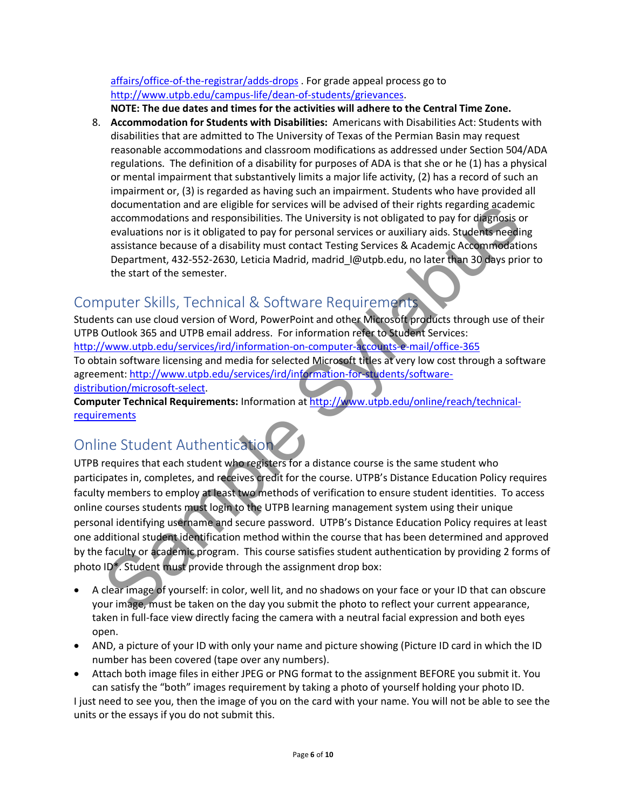#### affairs/office-of-the-registrar/adds-drops . For grade appeal process go to http://www.utpb.edu/campus-life/dean-of-students/grievances.

**NOTE: The due dates and times for the activities will adhere to the Central Time Zone.**

8. **Accommodation for Students with Disabilities:** Americans with Disabilities Act: Students with disabilities that are admitted to The University of Texas of the Permian Basin may request reasonable accommodations and classroom modifications as addressed under Section 504/ADA regulations. The definition of a disability for purposes of ADA is that she or he (1) has a physical or mental impairment that substantively limits a major life activity, (2) has a record of such an impairment or, (3) is regarded as having such an impairment. Students who have provided all documentation and are eligible for services will be advised of their rights regarding academic accommodations and responsibilities. The University is not obligated to pay for diagnosis or evaluations nor is it obligated to pay for personal services or auxiliary aids. Students needing assistance because of a disability must contact Testing Services & Academic Accommodations Department, 432-552-2630, Leticia Madrid, madrid\_l@utpb.edu, no later than 30 days prior to the start of the semester.

### Computer Skills, Technical & Software Requirements

Students can use cloud version of Word, PowerPoint and other Microsoft products through use of their UTPB Outlook 365 and UTPB email address. For information refer to Student Services: http://www.utpb.edu/services/ird/information-on-computer-accounts-e-mail/office-365 To obtain software licensing and media for selected Microsoft titles at very low cost through a software agreement: http://www.utpb.edu/services/ird/information-for-students/softwaredistribution/microsoft-select.

**Computer Technical Requirements:** Information at http://www.utpb.edu/online/reach/technicalrequirements

# Online Student Authentication

UTPB requires that each student who registers for a distance course is the same student who participates in, completes, and receives credit for the course. UTPB's Distance Education Policy requires faculty members to employ at least two methods of verification to ensure student identities. To access online courses students must login to the UTPB learning management system using their unique personal identifying username and secure password. UTPB's Distance Education Policy requires at least one additional student identification method within the course that has been determined and approved by the faculty or academic program. This course satisfies student authentication by providing 2 forms of photo ID\*. Student must provide through the assignment drop box: accommodations and energine for services will be advised or their rights regarding academy<br>accommodations and esponsibilities. The University is not obligated to pay for diagnosis<br>cyaluations nor is it obligated to pay for

- A clear image of yourself: in color, well lit, and no shadows on your face or your ID that can obscure your image, must be taken on the day you submit the photo to reflect your current appearance, taken in full-face view directly facing the camera with a neutral facial expression and both eyes open.
- AND, a picture of your ID with only your name and picture showing (Picture ID card in which the ID number has been covered (tape over any numbers).
- Attach both image files in either JPEG or PNG format to the assignment BEFORE you submit it. You can satisfy the "both" images requirement by taking a photo of yourself holding your photo ID.

I just need to see you, then the image of you on the card with your name. You will not be able to see the units or the essays if you do not submit this.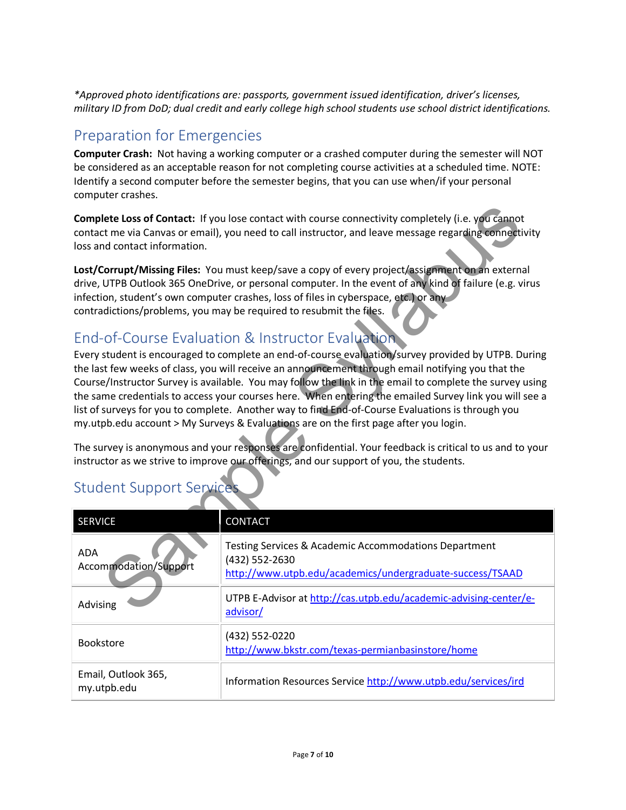*\*Approved photo identifications are: passports, government issued identification, driver's licenses, military ID from DoD; dual credit and early college high school students use school district identifications.*

### Preparation for Emergencies

**Computer Crash:** Not having a working computer or a crashed computer during the semester will NOT be considered as an acceptable reason for not completing course activities at a scheduled time. NOTE: Identify a second computer before the semester begins, that you can use when/if your personal computer crashes.

### End-of-Course Evaluation & Instructor Evaluation

| Complete Loss of Contact: If you lose contact with course connectivity completely (i.e. you cannot<br>contact me via Canvas or email), you need to call instructor, and leave message regarding connectivity<br>loss and contact information.                                                                                                                                                                                                                                                                                                                                                                                                                                                                                                                                                                                                                                                                                                                                                                                                                                                                                                                                                                                                                                                             |                                                                                                                                      |  |  |
|-----------------------------------------------------------------------------------------------------------------------------------------------------------------------------------------------------------------------------------------------------------------------------------------------------------------------------------------------------------------------------------------------------------------------------------------------------------------------------------------------------------------------------------------------------------------------------------------------------------------------------------------------------------------------------------------------------------------------------------------------------------------------------------------------------------------------------------------------------------------------------------------------------------------------------------------------------------------------------------------------------------------------------------------------------------------------------------------------------------------------------------------------------------------------------------------------------------------------------------------------------------------------------------------------------------|--------------------------------------------------------------------------------------------------------------------------------------|--|--|
| Lost/Corrupt/Missing Files: You must keep/save a copy of every project/assignment on an external<br>drive, UTPB Outlook 365 OneDrive, or personal computer. In the event of any kind of failure (e.g. virus<br>infection, student's own computer crashes, loss of files in cyberspace, etc.) or any<br>contradictions/problems, you may be required to resubmit the files.<br>End-of-Course Evaluation & Instructor Evaluation<br>Every student is encouraged to complete an end-of-course evaluation/survey provided by UTPB. During<br>the last few weeks of class, you will receive an announcement through email notifying you that the<br>Course/Instructor Survey is available. You may follow the link in the email to complete the survey using<br>the same credentials to access your courses here. When entering the emailed Survey link you will see a<br>list of surveys for you to complete. Another way to find End-of-Course Evaluations is through you<br>my utpb.edu account > My Surveys & Evaluations are on the first page after you login.<br>The survey is anonymous and your responses are confidential. Your feedback is critical to us and to your<br>instructor as we strive to improve our offerings, and our support of you, the students.<br><b>Student Support Services</b> |                                                                                                                                      |  |  |
| <b>SERVICE</b>                                                                                                                                                                                                                                                                                                                                                                                                                                                                                                                                                                                                                                                                                                                                                                                                                                                                                                                                                                                                                                                                                                                                                                                                                                                                                            | <b>CONTACT</b>                                                                                                                       |  |  |
| ADA<br>Accommodation/Support                                                                                                                                                                                                                                                                                                                                                                                                                                                                                                                                                                                                                                                                                                                                                                                                                                                                                                                                                                                                                                                                                                                                                                                                                                                                              | Testing Services & Academic Accommodations Department<br>(432) 552-2630<br>http://www.utpb.edu/academics/undergraduate-success/TSAAD |  |  |
| Advising                                                                                                                                                                                                                                                                                                                                                                                                                                                                                                                                                                                                                                                                                                                                                                                                                                                                                                                                                                                                                                                                                                                                                                                                                                                                                                  | UTPB E-Advisor at http://cas.utpb.edu/academic-advising-center/e-<br>advisor/                                                        |  |  |
| Bookstore                                                                                                                                                                                                                                                                                                                                                                                                                                                                                                                                                                                                                                                                                                                                                                                                                                                                                                                                                                                                                                                                                                                                                                                                                                                                                                 | (432) 552-0220<br>http://www.bkstr.com/texas-permianbasinstore/home                                                                  |  |  |
| Email, Outlook 365,<br>my.utpb.edu                                                                                                                                                                                                                                                                                                                                                                                                                                                                                                                                                                                                                                                                                                                                                                                                                                                                                                                                                                                                                                                                                                                                                                                                                                                                        | Information Resources Service http://www.utpb.edu/services/ird                                                                       |  |  |

# Student Support Services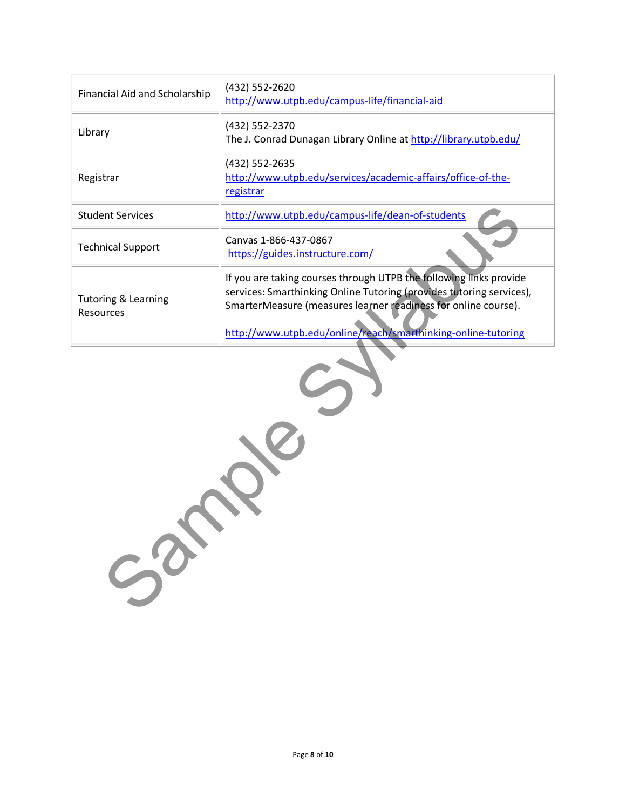| Financial Aid and Scholarship               | (432) 552-2620<br>http://www.utpb.edu/campus-life/financial-aid                                                                                                                                                                                                               |  |  |
|---------------------------------------------|-------------------------------------------------------------------------------------------------------------------------------------------------------------------------------------------------------------------------------------------------------------------------------|--|--|
| Library                                     | (432) 552-2370<br>The J. Conrad Dunagan Library Online at http://library.utpb.edu/                                                                                                                                                                                            |  |  |
| Registrar                                   | (432) 552-2635<br>http://www.utpb.edu/services/academic-affairs/office-of-the-<br>registrar                                                                                                                                                                                   |  |  |
| <b>Student Services</b>                     | http://www.utpb.edu/campus-life/dean-of-students                                                                                                                                                                                                                              |  |  |
| <b>Technical Support</b>                    | Canvas 1-866-437-0867<br>https://guides.instructure.com/                                                                                                                                                                                                                      |  |  |
| <b>Tutoring &amp; Learning</b><br>Resources | If you are taking courses through UTPB the following links provide<br>services: Smarthinking Online Tutoring (provides tutoring services),<br>SmarterMeasure (measures learner readiness for online course).<br>http://www.utpb.edu/online/reach/smarthinking-online-tutoring |  |  |
| $50^\circ$                                  |                                                                                                                                                                                                                                                                               |  |  |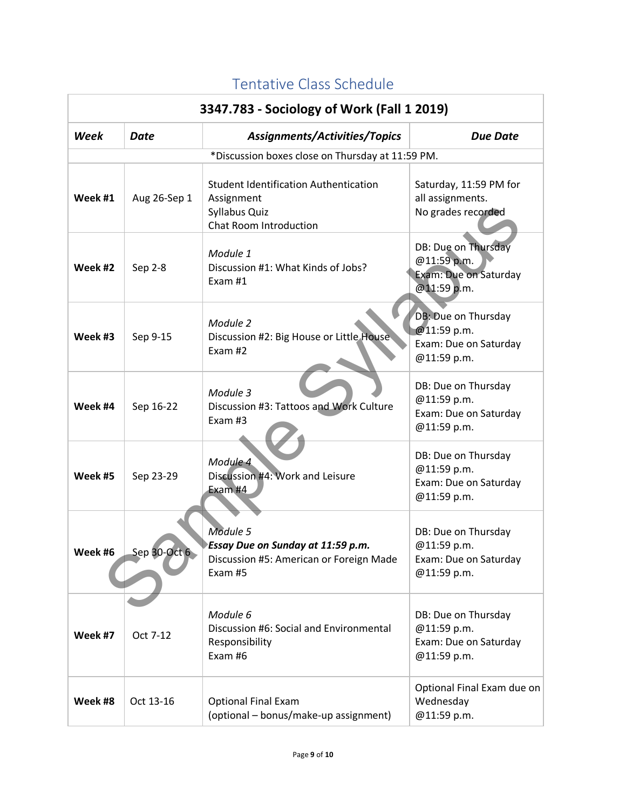| 3347.783 - Sociology of Work (Fall 1 2019) |              |                                                                                                       |                                                                            |
|--------------------------------------------|--------------|-------------------------------------------------------------------------------------------------------|----------------------------------------------------------------------------|
| <b>Week</b><br>Date                        |              | Assignments/Activities/Topics                                                                         | <b>Due Date</b>                                                            |
|                                            |              | *Discussion boxes close on Thursday at 11:59 PM.                                                      |                                                                            |
| Week #1                                    | Aug 26-Sep 1 | <b>Student Identification Authentication</b><br>Assignment<br>Syllabus Quiz<br>Chat Room Introduction | Saturday, 11:59 PM for<br>all assignments.<br>No grades recorded           |
| Week #2                                    | Sep 2-8      | Module 1<br>Discussion #1: What Kinds of Jobs?<br>Exam $#1$                                           | DB: Due on Thursday<br>@11:59 p.m.<br>Exam: Due on Saturday<br>@11:59 p.m. |
| Week #3                                    | Sep 9-15     | Module 2<br>Discussion #2: Big House or Little House<br>Exam #2                                       | DB: Due on Thursday<br>@11:59 p.m.<br>Exam: Due on Saturday<br>@11:59 p.m. |
| Week #4                                    | Sep 16-22    | Module 3<br>Discussion #3: Tattoos and Work Culture<br>Exam $#3$                                      | DB: Due on Thursday<br>@11:59 p.m.<br>Exam: Due on Saturday<br>@11:59 p.m. |
| Week #5                                    | Sep 23-29    | Module 4<br>Discussion #4: Work and Leisure<br>Exam #4                                                | DB: Due on Thursday<br>@11:59 p.m.<br>Exam: Due on Saturday<br>@11:59 p.m. |
| week #6                                    | Sep 30-Oct 6 | Module 5<br>Essay Due on Sunday at 11:59 p.m.<br>Discussion #5: American or Foreign Made<br>Exam #5   | DB: Due on Thursday<br>@11:59 p.m.<br>Exam: Due on Saturday<br>@11:59 p.m. |
| Week #7                                    | Oct 7-12     | Module 6<br>Discussion #6: Social and Environmental<br>Responsibility<br>Exam #6                      | DB: Due on Thursday<br>@11:59 p.m.<br>Exam: Due on Saturday<br>@11:59 p.m. |
| Week #8                                    | Oct 13-16    | <b>Optional Final Exam</b><br>(optional - bonus/make-up assignment)                                   | Optional Final Exam due on<br>Wednesday<br>@11:59 p.m.                     |

# Tentative Class Schedule